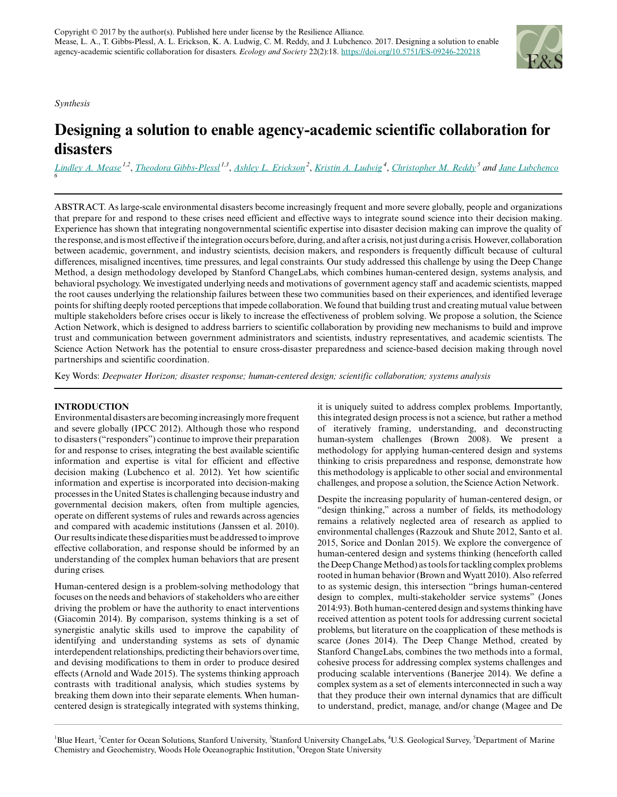*Synthesis*

*6*

# **Designing a solution to enable agency-academic scientific collaboration for disasters**

*[Lindley A. Mease](mailto:lindleymease@gmail.com) 1,2* , *[Theodora Gibbs-Plessl](mailto:ayelen@stanford.edu) 1,3* , *[Ashley L. Erickson](mailto:ashleye1@stanford.edu)<sup>2</sup>* , *[Kristin A. Ludwig](mailto:kaludwig@usgs.gov)<sup>4</sup>* , *[Christopher M. Reddy](mailto:creddy@whoi.edu)<sup>5</sup> and [Jane Lubchenco](mailto:Lubchenco@oregonstate.edu)*

ABSTRACT. As large-scale environmental disasters become increasingly frequent and more severe globally, people and organizations that prepare for and respond to these crises need efficient and effective ways to integrate sound science into their decision making. Experience has shown that integrating nongovernmental scientific expertise into disaster decision making can improve the quality of the response, and is most effective if the integration occurs before, during, and after a crisis, not just during a crisis. However, collaboration between academic, government, and industry scientists, decision makers, and responders is frequently difficult because of cultural differences, misaligned incentives, time pressures, and legal constraints. Our study addressed this challenge by using the Deep Change Method, a design methodology developed by Stanford ChangeLabs, which combines human-centered design, systems analysis, and behavioral psychology. We investigated underlying needs and motivations of government agency staff and academic scientists, mapped the root causes underlying the relationship failures between these two communities based on their experiences, and identified leverage points for shifting deeply rooted perceptions that impede collaboration. We found that building trust and creating mutual value between multiple stakeholders before crises occur is likely to increase the effectiveness of problem solving. We propose a solution, the Science Action Network, which is designed to address barriers to scientific collaboration by providing new mechanisms to build and improve trust and communication between government administrators and scientists, industry representatives, and academic scientists. The Science Action Network has the potential to ensure cross-disaster preparedness and science-based decision making through novel partnerships and scientific coordination.

Key Words: *Deepwater Horizon; disaster response; human-centered design; scientific collaboration; systems analysis*

#### **INTRODUCTION**

Environmental disasters are becoming increasingly more frequent and severe globally (IPCC 2012). Although those who respond to disasters ("responders") continue to improve their preparation for and response to crises, integrating the best available scientific information and expertise is vital for efficient and effective decision making (Lubchenco et al. 2012). Yet how scientific information and expertise is incorporated into decision-making processes in the United States is challenging because industry and governmental decision makers, often from multiple agencies, operate on different systems of rules and rewards across agencies and compared with academic institutions (Janssen et al. 2010). Our results indicate these disparities must be addressed to improve effective collaboration, and response should be informed by an understanding of the complex human behaviors that are present during crises.

Human-centered design is a problem-solving methodology that focuses on the needs and behaviors of stakeholders who are either driving the problem or have the authority to enact interventions (Giacomin 2014). By comparison, systems thinking is a set of synergistic analytic skills used to improve the capability of identifying and understanding systems as sets of dynamic interdependent relationships, predicting their behaviors over time, and devising modifications to them in order to produce desired effects (Arnold and Wade 2015). The systems thinking approach contrasts with traditional analysis, which studies systems by breaking them down into their separate elements. When humancentered design is strategically integrated with systems thinking,

it is uniquely suited to address complex problems. Importantly, this integrated design process is not a science, but rather a method of iteratively framing, understanding, and deconstructing human-system challenges (Brown 2008). We present a methodology for applying human-centered design and systems thinking to crisis preparedness and response, demonstrate how this methodology is applicable to other social and environmental challenges, and propose a solution, the Science Action Network.

Despite the increasing popularity of human-centered design, or "design thinking," across a number of fields, its methodology remains a relatively neglected area of research as applied to environmental challenges (Razzouk and Shute 2012, Santo et al. 2015, Sorice and Donlan 2015). We explore the convergence of human-centered design and systems thinking (henceforth called the Deep Change Method) as tools for tackling complex problems rooted in human behavior (Brown and Wyatt 2010). Also referred to as systemic design, this intersection "brings human-centered design to complex, multi-stakeholder service systems" (Jones 2014:93). Both human-centered design and systems thinking have received attention as potent tools for addressing current societal problems, but literature on the coapplication of these methods is scarce (Jones 2014). The Deep Change Method, created by Stanford ChangeLabs, combines the two methods into a formal, cohesive process for addressing complex systems challenges and producing scalable interventions (Banerjee 2014). We define a complex system as a set of elements interconnected in such a way that they produce their own internal dynamics that are difficult to understand, predict, manage, and/or change (Magee and De

<sup>1</sup>Blue Heart, <sup>2</sup>Center for Ocean Solutions, Stanford University, <sup>3</sup>Stanford University ChangeLabs, <sup>4</sup>U.S. Geological Survey, <sup>5</sup>Department of Marine Chemistry and Geochemistry, Woods Hole Oceanographic Institution, <sup>6</sup>Oregon State University

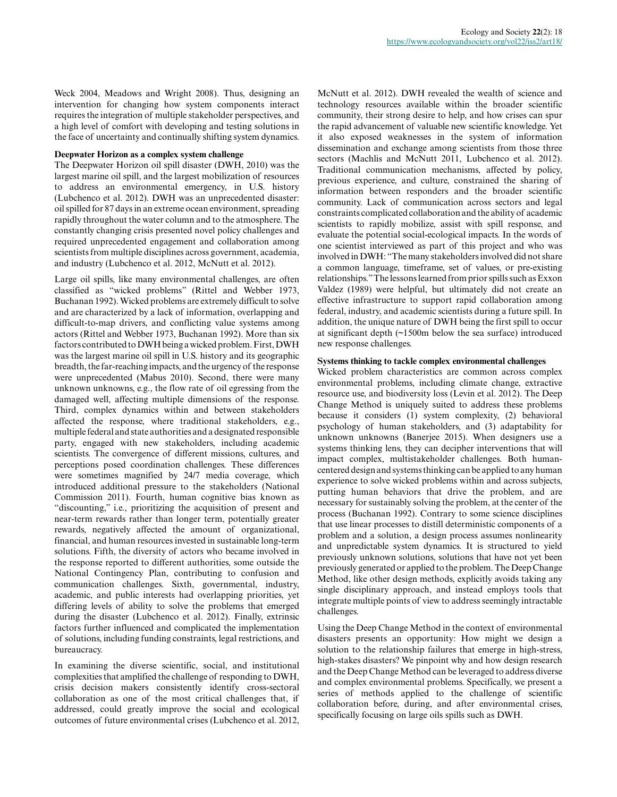Weck 2004, Meadows and Wright 2008). Thus, designing an intervention for changing how system components interact requires the integration of multiple stakeholder perspectives, and a high level of comfort with developing and testing solutions in the face of uncertainty and continually shifting system dynamics.

#### **Deepwater Horizon as a complex system challenge**

The Deepwater Horizon oil spill disaster (DWH, 2010) was the largest marine oil spill, and the largest mobilization of resources to address an environmental emergency, in U.S. history (Lubchenco et al. 2012). DWH was an unprecedented disaster: oil spilled for 87 days in an extreme ocean environment, spreading rapidly throughout the water column and to the atmosphere. The constantly changing crisis presented novel policy challenges and required unprecedented engagement and collaboration among scientists from multiple disciplines across government, academia, and industry (Lubchenco et al. 2012, McNutt et al. 2012).

Large oil spills, like many environmental challenges, are often classified as "wicked problems" (Rittel and Webber 1973, Buchanan 1992). Wicked problems are extremely difficult to solve and are characterized by a lack of information, overlapping and difficult-to-map drivers, and conflicting value systems among actors (Rittel and Webber 1973, Buchanan 1992). More than six factors contributed to DWH being a wicked problem. First, DWH was the largest marine oil spill in U.S. history and its geographic breadth, the far-reaching impacts, and the urgency of the response were unprecedented (Mabus 2010). Second, there were many unknown unknowns, e.g., the flow rate of oil egressing from the damaged well, affecting multiple dimensions of the response. Third, complex dynamics within and between stakeholders affected the response, where traditional stakeholders, e.g., multiple federal and state authorities and a designated responsible party, engaged with new stakeholders, including academic scientists. The convergence of different missions, cultures, and perceptions posed coordination challenges. These differences were sometimes magnified by 24/7 media coverage, which introduced additional pressure to the stakeholders (National Commission 2011). Fourth, human cognitive bias known as "discounting," i.e., prioritizing the acquisition of present and near-term rewards rather than longer term, potentially greater rewards, negatively affected the amount of organizational, financial, and human resources invested in sustainable long-term solutions. Fifth, the diversity of actors who became involved in the response reported to different authorities, some outside the National Contingency Plan, contributing to confusion and communication challenges. Sixth, governmental, industry, academic, and public interests had overlapping priorities, yet differing levels of ability to solve the problems that emerged during the disaster (Lubchenco et al. 2012). Finally, extrinsic factors further influenced and complicated the implementation of solutions, including funding constraints, legal restrictions, and bureaucracy.

In examining the diverse scientific, social, and institutional complexities that amplified the challenge of responding to DWH, crisis decision makers consistently identify cross-sectoral collaboration as one of the most critical challenges that, if addressed, could greatly improve the social and ecological outcomes of future environmental crises (Lubchenco et al. 2012, McNutt et al. 2012). DWH revealed the wealth of science and technology resources available within the broader scientific community, their strong desire to help, and how crises can spur the rapid advancement of valuable new scientific knowledge. Yet it also exposed weaknesses in the system of information dissemination and exchange among scientists from those three sectors (Machlis and McNutt 2011, Lubchenco et al. 2012). Traditional communication mechanisms, affected by policy, previous experience, and culture, constrained the sharing of information between responders and the broader scientific community. Lack of communication across sectors and legal constraints complicated collaboration and the ability of academic scientists to rapidly mobilize, assist with spill response, and evaluate the potential social-ecological impacts. In the words of one scientist interviewed as part of this project and who was involved in DWH: "The many stakeholders involved did not share a common language, timeframe, set of values, or pre-existing relationships." The lessons learned from prior spills such as Exxon Valdez (1989) were helpful, but ultimately did not create an effective infrastructure to support rapid collaboration among federal, industry, and academic scientists during a future spill. In addition, the unique nature of DWH being the first spill to occur at significant depth (~1500m below the sea surface) introduced new response challenges.

#### **Systems thinking to tackle complex environmental challenges**

Wicked problem characteristics are common across complex environmental problems, including climate change, extractive resource use, and biodiversity loss (Levin et al. 2012). The Deep Change Method is uniquely suited to address these problems because it considers (1) system complexity, (2) behavioral psychology of human stakeholders, and (3) adaptability for unknown unknowns (Banerjee 2015). When designers use a systems thinking lens, they can decipher interventions that will impact complex, multistakeholder challenges. Both humancentered design and systems thinking can be applied to any human experience to solve wicked problems within and across subjects, putting human behaviors that drive the problem, and are necessary for sustainably solving the problem, at the center of the process (Buchanan 1992). Contrary to some science disciplines that use linear processes to distill deterministic components of a problem and a solution, a design process assumes nonlinearity and unpredictable system dynamics. It is structured to yield previously unknown solutions, solutions that have not yet been previously generated or applied to the problem. The Deep Change Method, like other design methods, explicitly avoids taking any single disciplinary approach, and instead employs tools that integrate multiple points of view to address seemingly intractable challenges.

Using the Deep Change Method in the context of environmental disasters presents an opportunity: How might we design a solution to the relationship failures that emerge in high-stress, high-stakes disasters? We pinpoint why and how design research and the Deep Change Method can be leveraged to address diverse and complex environmental problems. Specifically, we present a series of methods applied to the challenge of scientific collaboration before, during, and after environmental crises, specifically focusing on large oils spills such as DWH.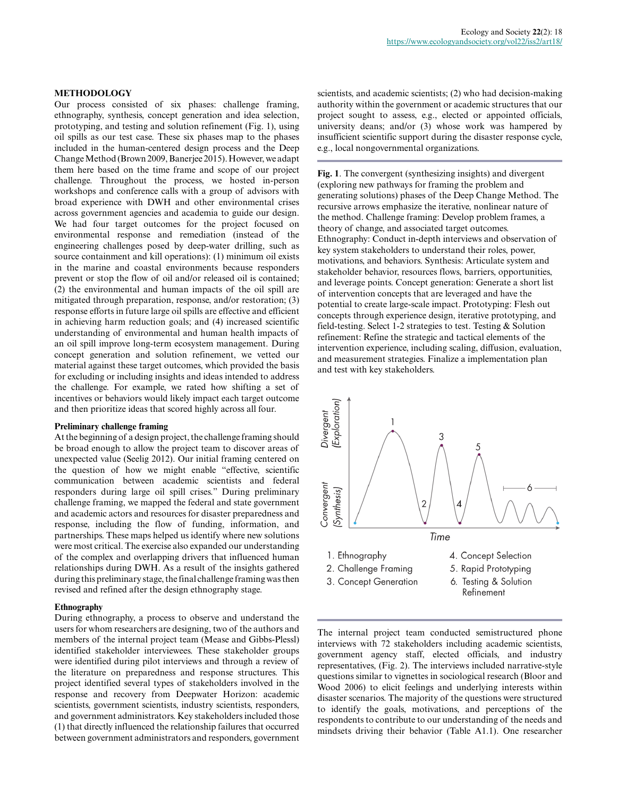#### **METHODOLOGY**

Our process consisted of six phases: challenge framing, ethnography, synthesis, concept generation and idea selection, prototyping, and testing and solution refinement (Fig. 1), using oil spills as our test case. These six phases map to the phases included in the human-centered design process and the Deep Change Method (Brown 2009, Banerjee 2015). However, we adapt them here based on the time frame and scope of our project challenge. Throughout the process, we hosted in-person workshops and conference calls with a group of advisors with broad experience with DWH and other environmental crises across government agencies and academia to guide our design. We had four target outcomes for the project focused on environmental response and remediation (instead of the engineering challenges posed by deep-water drilling, such as source containment and kill operations): (1) minimum oil exists in the marine and coastal environments because responders prevent or stop the flow of oil and/or released oil is contained; (2) the environmental and human impacts of the oil spill are mitigated through preparation, response, and/or restoration; (3) response efforts in future large oil spills are effective and efficient in achieving harm reduction goals; and (4) increased scientific understanding of environmental and human health impacts of an oil spill improve long-term ecosystem management. During concept generation and solution refinement, we vetted our material against these target outcomes, which provided the basis for excluding or including insights and ideas intended to address the challenge. For example, we rated how shifting a set of incentives or behaviors would likely impact each target outcome and then prioritize ideas that scored highly across all four.

#### **Preliminary challenge framing**

At the beginning of a design project, the challenge framing should be broad enough to allow the project team to discover areas of unexpected value (Seelig 2012). Our initial framing centered on the question of how we might enable "effective, scientific communication between academic scientists and federal responders during large oil spill crises." During preliminary challenge framing, we mapped the federal and state government and academic actors and resources for disaster preparedness and response, including the flow of funding, information, and partnerships. These maps helped us identify where new solutions were most critical. The exercise also expanded our understanding of the complex and overlapping drivers that influenced human relationships during DWH. As a result of the insights gathered during this preliminary stage, the final challenge framing was then revised and refined after the design ethnography stage.

#### **Ethnography**

During ethnography, a process to observe and understand the users for whom researchers are designing, two of the authors and members of the internal project team (Mease and Gibbs-Plessl) identified stakeholder interviewees. These stakeholder groups were identified during pilot interviews and through a review of the literature on preparedness and response structures. This project identified several types of stakeholders involved in the response and recovery from Deepwater Horizon: academic scientists, government scientists, industry scientists, responders, and government administrators. Key stakeholders included those (1) that directly influenced the relationship failures that occurred between government administrators and responders, government

scientists, and academic scientists; (2) who had decision-making authority within the government or academic structures that our project sought to assess, e.g., elected or appointed officials, university deans; and/or (3) whose work was hampered by insufficient scientific support during the disaster response cycle, e.g., local nongovernmental organizations.

**Fig. 1**. The convergent (synthesizing insights) and divergent (exploring new pathways for framing the problem and generating solutions) phases of the Deep Change Method. The recursive arrows emphasize the iterative, nonlinear nature of the method. Challenge framing: Develop problem frames, a theory of change, and associated target outcomes. Ethnography: Conduct in-depth interviews and observation of key system stakeholders to understand their roles, power, motivations, and behaviors. Synthesis: Articulate system and stakeholder behavior, resources flows, barriers, opportunities, and leverage points. Concept generation: Generate a short list of intervention concepts that are leveraged and have the potential to create large-scale impact. Prototyping: Flesh out concepts through experience design, iterative prototyping, and field-testing. Select 1-2 strategies to test. Testing & Solution refinement: Refine the strategic and tactical elements of the intervention experience, including scaling, diffusion, evaluation, and measurement strategies. Finalize a implementation plan and test with key stakeholders.



The internal project team conducted semistructured phone interviews with 72 stakeholders including academic scientists, government agency staff, elected officials, and industry representatives, (Fig. 2). The interviews included narrative-style questions similar to vignettes in sociological research (Bloor and Wood 2006) to elicit feelings and underlying interests within disaster scenarios. The majority of the questions were structured to identify the goals, motivations, and perceptions of the respondents to contribute to our understanding of the needs and mindsets driving their behavior (Table A1.1). One researcher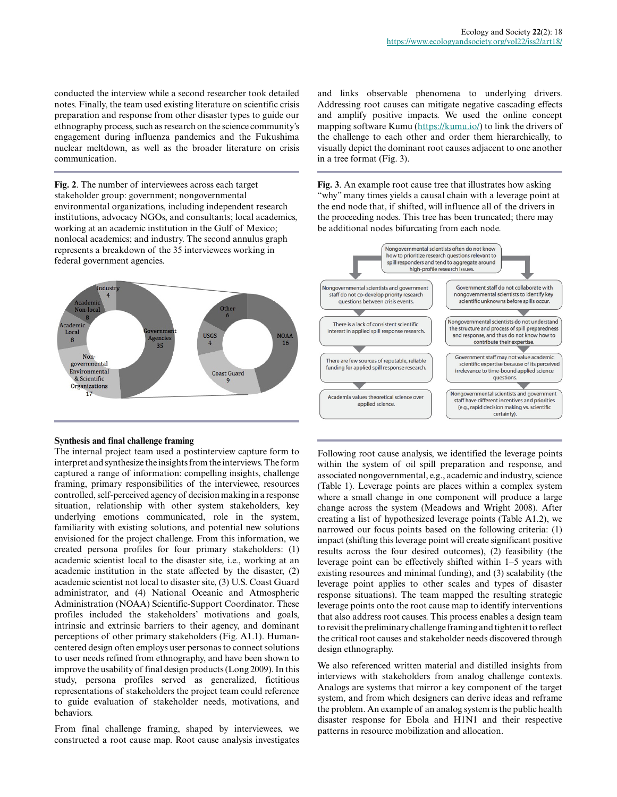conducted the interview while a second researcher took detailed notes. Finally, the team used existing literature on scientific crisis preparation and response from other disaster types to guide our ethnography process, such as research on the science community's engagement during influenza pandemics and the Fukushima nuclear meltdown, as well as the broader literature on crisis communication.

**Fig. 2**. The number of interviewees across each target stakeholder group: government; nongovernmental environmental organizations, including independent research institutions, advocacy NGOs, and consultants; local academics, working at an academic institution in the Gulf of Mexico; nonlocal academics; and industry. The second annulus graph represents a breakdown of the 35 interviewees working in federal government agencies.



#### **Synthesis and final challenge framing**

The internal project team used a postinterview capture form to interpret and synthesize the insights from the interviews. The form captured a range of information: compelling insights, challenge framing, primary responsibilities of the interviewee, resources controlled, self-perceived agency of decision making in a response situation, relationship with other system stakeholders, key underlying emotions communicated, role in the system, familiarity with existing solutions, and potential new solutions envisioned for the project challenge. From this information, we created persona profiles for four primary stakeholders: (1) academic scientist local to the disaster site, i.e., working at an academic institution in the state affected by the disaster, (2) academic scientist not local to disaster site, (3) U.S. Coast Guard administrator, and (4) National Oceanic and Atmospheric Administration (NOAA) Scientific-Support Coordinator. These profiles included the stakeholders' motivations and goals, intrinsic and extrinsic barriers to their agency, and dominant perceptions of other primary stakeholders (Fig. A1.1). Humancentered design often employs user personas to connect solutions to user needs refined from ethnography, and have been shown to improve the usability of final design products (Long 2009). In this study, persona profiles served as generalized, fictitious representations of stakeholders the project team could reference to guide evaluation of stakeholder needs, motivations, and behaviors.

From final challenge framing, shaped by interviewees, we constructed a root cause map. Root cause analysis investigates and links observable phenomena to underlying drivers. Addressing root causes can mitigate negative cascading effects and amplify positive impacts. We used the online concept mapping software Kumu [\(https://kumu.io/\)](https://kumu.io/) to link the drivers of the challenge to each other and order them hierarchically, to visually depict the dominant root causes adjacent to one another in a tree format (Fig. 3).

**Fig. 3**. An example root cause tree that illustrates how asking "why" many times yields a causal chain with a leverage point at the end node that, if shifted, will influence all of the drivers in the proceeding nodes. This tree has been truncated; there may be additional nodes bifurcating from each node.



Following root cause analysis, we identified the leverage points within the system of oil spill preparation and response, and associated nongovernmental, e.g., academic and industry, science (Table 1). Leverage points are places within a complex system where a small change in one component will produce a large change across the system (Meadows and Wright 2008). After creating a list of hypothesized leverage points (Table A1.2), we narrowed our focus points based on the following criteria: (1) impact (shifting this leverage point will create significant positive results across the four desired outcomes), (2) feasibility (the leverage point can be effectively shifted within 1–5 years with existing resources and minimal funding), and (3) scalability (the leverage point applies to other scales and types of disaster response situations). The team mapped the resulting strategic leverage points onto the root cause map to identify interventions that also address root causes. This process enables a design team to revisit the preliminary challenge framing and tighten it to reflect the critical root causes and stakeholder needs discovered through design ethnography.

We also referenced written material and distilled insights from interviews with stakeholders from analog challenge contexts. Analogs are systems that mirror a key component of the target system, and from which designers can derive ideas and reframe the problem. An example of an analog system is the public health disaster response for Ebola and H1N1 and their respective patterns in resource mobilization and allocation.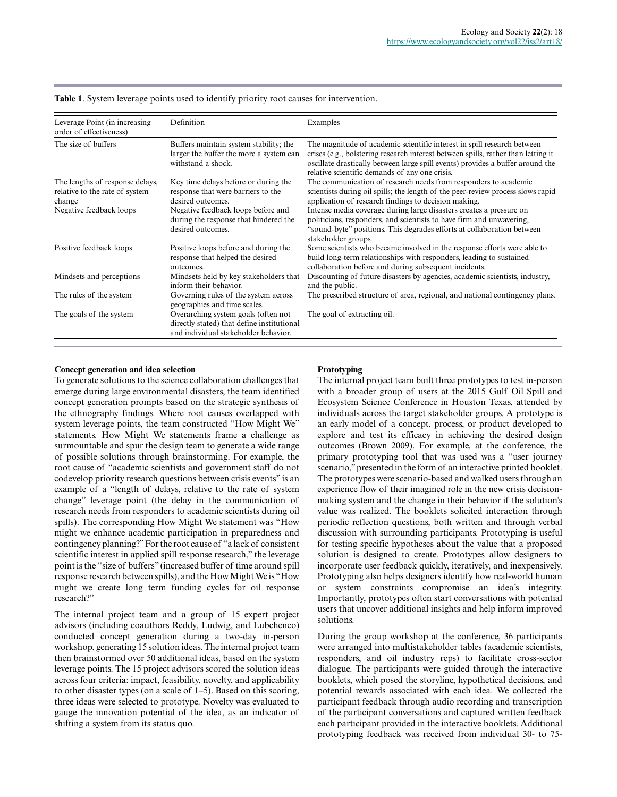| Leverage Point (in increasing<br>order of effectiveness)                    | Definition                                                                                                                | Examples                                                                                                                                                                                                                                                                                         |
|-----------------------------------------------------------------------------|---------------------------------------------------------------------------------------------------------------------------|--------------------------------------------------------------------------------------------------------------------------------------------------------------------------------------------------------------------------------------------------------------------------------------------------|
| The size of buffers                                                         | Buffers maintain system stability; the<br>larger the buffer the more a system can<br>withstand a shock.                   | The magnitude of academic scientific interest in spill research between<br>crises (e.g., bolstering research interest between spills, rather than letting it<br>oscillate drastically between large spill events) provides a buffer around the<br>relative scientific demands of any one crisis. |
| The lengths of response delays,<br>relative to the rate of system<br>change | Key time delays before or during the<br>response that were barriers to the<br>desired outcomes.                           | The communication of research needs from responders to academic<br>scientists during oil spills; the length of the peer-review process slows rapid<br>application of research findings to decision making.                                                                                       |
| Negative feedback loops                                                     | Negative feedback loops before and<br>during the response that hindered the<br>desired outcomes.                          | Intense media coverage during large disasters creates a pressure on<br>politicians, responders, and scientists to have firm and unwavering,<br>"sound-byte" positions. This degrades efforts at collaboration between<br>stakeholder groups.                                                     |
| Positive feedback loops                                                     | Positive loops before and during the<br>response that helped the desired<br>outcomes.                                     | Some scientists who became involved in the response efforts were able to<br>build long-term relationships with responders, leading to sustained<br>collaboration before and during subsequent incidents.                                                                                         |
| Mindsets and perceptions                                                    | Mindsets held by key stakeholders that<br>inform their behavior.                                                          | Discounting of future disasters by agencies, academic scientists, industry,<br>and the public.                                                                                                                                                                                                   |
| The rules of the system                                                     | Governing rules of the system across<br>geographies and time scales.                                                      | The prescribed structure of area, regional, and national contingency plans.                                                                                                                                                                                                                      |
| The goals of the system                                                     | Overarching system goals (often not<br>directly stated) that define institutional<br>and individual stakeholder behavior. | The goal of extracting oil.                                                                                                                                                                                                                                                                      |

**Table 1**. System leverage points used to identify priority root causes for intervention.

#### **Concept generation and idea selection**

To generate solutions to the science collaboration challenges that emerge during large environmental disasters, the team identified concept generation prompts based on the strategic synthesis of the ethnography findings. Where root causes overlapped with system leverage points, the team constructed "How Might We" statements. How Might We statements frame a challenge as surmountable and spur the design team to generate a wide range of possible solutions through brainstorming. For example, the root cause of "academic scientists and government staff do not codevelop priority research questions between crisis events" is an example of a "length of delays, relative to the rate of system change" leverage point (the delay in the communication of research needs from responders to academic scientists during oil spills). The corresponding How Might We statement was "How might we enhance academic participation in preparedness and contingency planning?" For the root cause of "a lack of consistent scientific interest in applied spill response research," the leverage point is the "size of buffers" (increased buffer of time around spill response research between spills), and the How Might We is "How might we create long term funding cycles for oil response research?"

The internal project team and a group of 15 expert project advisors (including coauthors Reddy, Ludwig, and Lubchenco) conducted concept generation during a two-day in-person workshop, generating 15 solution ideas. The internal project team then brainstormed over 50 additional ideas, based on the system leverage points. The 15 project advisors scored the solution ideas across four criteria: impact, feasibility, novelty, and applicability to other disaster types (on a scale of 1–5). Based on this scoring, three ideas were selected to prototype. Novelty was evaluated to gauge the innovation potential of the idea, as an indicator of shifting a system from its status quo.

#### **Prototyping**

The internal project team built three prototypes to test in-person with a broader group of users at the 2015 Gulf Oil Spill and Ecosystem Science Conference in Houston Texas, attended by individuals across the target stakeholder groups. A prototype is an early model of a concept, process, or product developed to explore and test its efficacy in achieving the desired design outcomes (Brown 2009). For example, at the conference, the primary prototyping tool that was used was a "user journey scenario," presented in the form of an interactive printed booklet. The prototypes were scenario-based and walked users through an experience flow of their imagined role in the new crisis decisionmaking system and the change in their behavior if the solution's value was realized. The booklets solicited interaction through periodic reflection questions, both written and through verbal discussion with surrounding participants. Prototyping is useful for testing specific hypotheses about the value that a proposed solution is designed to create. Prototypes allow designers to incorporate user feedback quickly, iteratively, and inexpensively. Prototyping also helps designers identify how real-world human or system constraints compromise an idea's integrity. Importantly, prototypes often start conversations with potential users that uncover additional insights and help inform improved solutions.

During the group workshop at the conference, 36 participants were arranged into multistakeholder tables (academic scientists, responders, and oil industry reps) to facilitate cross-sector dialogue. The participants were guided through the interactive booklets, which posed the storyline, hypothetical decisions, and potential rewards associated with each idea. We collected the participant feedback through audio recording and transcription of the participant conversations and captured written feedback each participant provided in the interactive booklets. Additional prototyping feedback was received from individual 30- to 75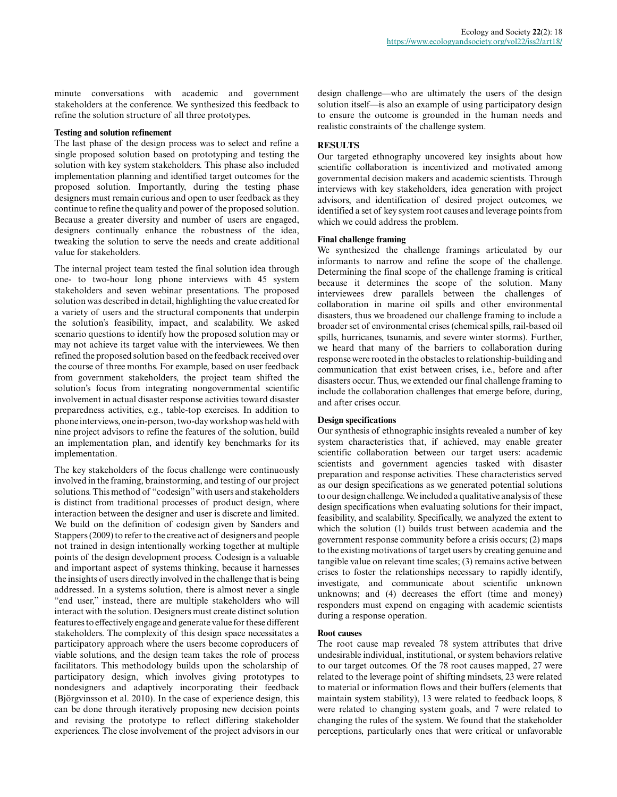minute conversations with academic and government stakeholders at the conference. We synthesized this feedback to refine the solution structure of all three prototypes.

#### **Testing and solution refinement**

The last phase of the design process was to select and refine a single proposed solution based on prototyping and testing the solution with key system stakeholders. This phase also included implementation planning and identified target outcomes for the proposed solution. Importantly, during the testing phase designers must remain curious and open to user feedback as they continue to refine the quality and power of the proposed solution. Because a greater diversity and number of users are engaged, designers continually enhance the robustness of the idea, tweaking the solution to serve the needs and create additional value for stakeholders.

The internal project team tested the final solution idea through one- to two-hour long phone interviews with 45 system stakeholders and seven webinar presentations. The proposed solution was described in detail, highlighting the value created for a variety of users and the structural components that underpin the solution's feasibility, impact, and scalability. We asked scenario questions to identify how the proposed solution may or may not achieve its target value with the interviewees. We then refined the proposed solution based on the feedback received over the course of three months. For example, based on user feedback from government stakeholders, the project team shifted the solution's focus from integrating nongovernmental scientific involvement in actual disaster response activities toward disaster preparedness activities, e.g., table-top exercises. In addition to phone interviews, one in-person, two-day workshop was held with nine project advisors to refine the features of the solution, build an implementation plan, and identify key benchmarks for its implementation.

The key stakeholders of the focus challenge were continuously involved in the framing, brainstorming, and testing of our project solutions. This method of "codesign" with users and stakeholders is distinct from traditional processes of product design, where interaction between the designer and user is discrete and limited. We build on the definition of codesign given by Sanders and Stappers (2009) to refer to the creative act of designers and people not trained in design intentionally working together at multiple points of the design development process. Codesign is a valuable and important aspect of systems thinking, because it harnesses the insights of users directly involved in the challenge that is being addressed. In a systems solution, there is almost never a single "end user," instead, there are multiple stakeholders who will interact with the solution. Designers must create distinct solution features to effectively engage and generate value for these different stakeholders. The complexity of this design space necessitates a participatory approach where the users become coproducers of viable solutions, and the design team takes the role of process facilitators. This methodology builds upon the scholarship of participatory design, which involves giving prototypes to nondesigners and adaptively incorporating their feedback (Björgvinsson et al. 2010). In the case of experience design, this can be done through iteratively proposing new decision points and revising the prototype to reflect differing stakeholder experiences. The close involvement of the project advisors in our

design challenge—who are ultimately the users of the design solution itself—is also an example of using participatory design to ensure the outcome is grounded in the human needs and realistic constraints of the challenge system.

#### **RESULTS**

Our targeted ethnography uncovered key insights about how scientific collaboration is incentivized and motivated among governmental decision makers and academic scientists. Through interviews with key stakeholders, idea generation with project advisors, and identification of desired project outcomes, we identified a set of key system root causes and leverage points from which we could address the problem.

#### **Final challenge framing**

We synthesized the challenge framings articulated by our informants to narrow and refine the scope of the challenge. Determining the final scope of the challenge framing is critical because it determines the scope of the solution. Many interviewees drew parallels between the challenges of collaboration in marine oil spills and other environmental disasters, thus we broadened our challenge framing to include a broader set of environmental crises (chemical spills, rail-based oil spills, hurricanes, tsunamis, and severe winter storms). Further, we heard that many of the barriers to collaboration during response were rooted in the obstacles to relationship-building and communication that exist between crises, i.e., before and after disasters occur. Thus, we extended our final challenge framing to include the collaboration challenges that emerge before, during, and after crises occur.

#### **Design specifications**

Our synthesis of ethnographic insights revealed a number of key system characteristics that, if achieved, may enable greater scientific collaboration between our target users: academic scientists and government agencies tasked with disaster preparation and response activities. These characteristics served as our design specifications as we generated potential solutions to our design challenge. We included a qualitative analysis of these design specifications when evaluating solutions for their impact, feasibility, and scalability. Specifically, we analyzed the extent to which the solution (1) builds trust between academia and the government response community before a crisis occurs; (2) maps to the existing motivations of target users by creating genuine and tangible value on relevant time scales; (3) remains active between crises to foster the relationships necessary to rapidly identify, investigate, and communicate about scientific unknown unknowns; and (4) decreases the effort (time and money) responders must expend on engaging with academic scientists during a response operation.

#### **Root causes**

The root cause map revealed 78 system attributes that drive undesirable individual, institutional, or system behaviors relative to our target outcomes. Of the 78 root causes mapped, 27 were related to the leverage point of shifting mindsets, 23 were related to material or information flows and their buffers (elements that maintain system stability), 13 were related to feedback loops, 8 were related to changing system goals, and 7 were related to changing the rules of the system. We found that the stakeholder perceptions, particularly ones that were critical or unfavorable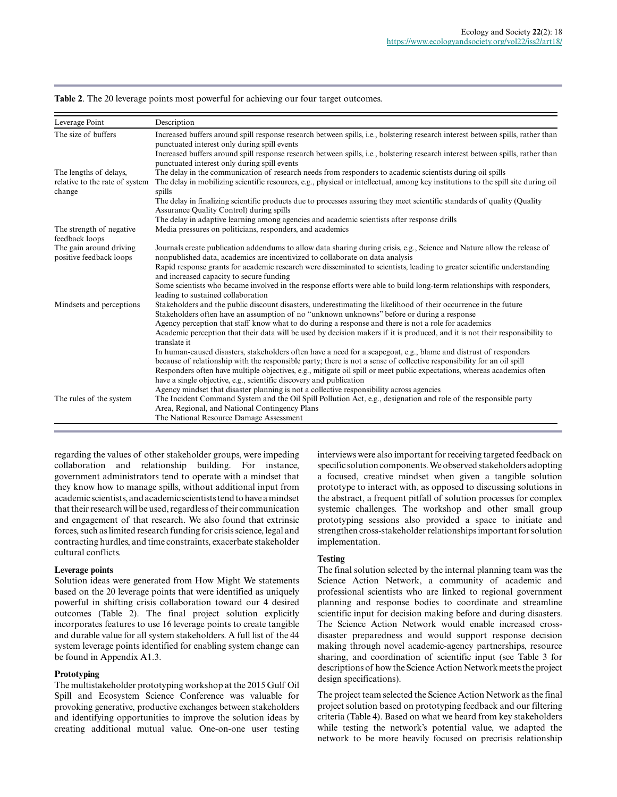| Leverage Point                             | Description                                                                                                                             |
|--------------------------------------------|-----------------------------------------------------------------------------------------------------------------------------------------|
| The size of buffers                        | Increased buffers around spill response research between spills, i.e., bolstering research interest between spills, rather than         |
|                                            | punctuated interest only during spill events                                                                                            |
|                                            | Increased buffers around spill response research between spills, <i>i.e.</i> , bolstering research interest between spills, rather than |
|                                            | punctuated interest only during spill events                                                                                            |
| The lengths of delays,                     | The delay in the communication of research needs from responders to academic scientists during oil spills                               |
| relative to the rate of system             | The delay in mobilizing scientific resources, e.g., physical or intellectual, among key institutions to the spill site during oil       |
| change                                     | spills                                                                                                                                  |
|                                            | The delay in finalizing scientific products due to processes assuring they meet scientific standards of quality (Quality                |
|                                            | Assurance Quality Control) during spills                                                                                                |
|                                            | The delay in adaptive learning among agencies and academic scientists after response drills                                             |
| The strength of negative<br>feedback loops | Media pressures on politicians, responders, and academics                                                                               |
| The gain around driving                    | Journals create publication addendums to allow data sharing during crisis, e.g., Science and Nature allow the release of                |
| positive feedback loops                    | nonpublished data, academics are incentivized to collaborate on data analysis                                                           |
|                                            | Rapid response grants for academic research were disseminated to scientists, leading to greater scientific understanding                |
|                                            | and increased capacity to secure funding                                                                                                |
|                                            | Some scientists who became involved in the response efforts were able to build long-term relationships with responders,                 |
|                                            | leading to sustained collaboration                                                                                                      |
| Mindsets and perceptions                   | Stakeholders and the public discount disasters, underestimating the likelihood of their occurrence in the future                        |
|                                            | Stakeholders often have an assumption of no "unknown unknowns" before or during a response                                              |
|                                            | Agency perception that staff know what to do during a response and there is not a role for academics                                    |
|                                            | Academic perception that their data will be used by decision makers if it is produced, and it is not their responsibility to            |
|                                            | translate it                                                                                                                            |
|                                            | In human-caused disasters, stakeholders often have a need for a scapegoat, e.g., blame and distrust of responders                       |
|                                            | because of relationship with the responsible party; there is not a sense of collective responsibility for an oil spill                  |
|                                            | Responders often have multiple objectives, e.g., mitigate oil spill or meet public expectations, whereas academics often                |
|                                            | have a single objective, e.g., scientific discovery and publication                                                                     |
|                                            | Agency mindset that disaster planning is not a collective responsibility across agencies                                                |
| The rules of the system                    | The Incident Command System and the Oil Spill Pollution Act, e.g., designation and role of the responsible party                        |
|                                            | Area, Regional, and National Contingency Plans                                                                                          |
|                                            | The National Resource Damage Assessment                                                                                                 |

**Table 2**. The 20 leverage points most powerful for achieving our four target outcomes.

regarding the values of other stakeholder groups, were impeding collaboration and relationship building. For instance, government administrators tend to operate with a mindset that they know how to manage spills, without additional input from academic scientists, and academic scientists tend to have a mindset that their research will be used, regardless of their communication and engagement of that research. We also found that extrinsic forces, such as limited research funding for crisis science, legal and contracting hurdles, and time constraints, exacerbate stakeholder cultural conflicts.

#### **Leverage points**

Solution ideas were generated from How Might We statements based on the 20 leverage points that were identified as uniquely powerful in shifting crisis collaboration toward our 4 desired outcomes (Table 2). The final project solution explicitly incorporates features to use 16 leverage points to create tangible and durable value for all system stakeholders. A full list of the 44 system leverage points identified for enabling system change can be found in Appendix A1.3.

#### **Prototyping**

The multistakeholder prototyping workshop at the 2015 Gulf Oil Spill and Ecosystem Science Conference was valuable for provoking generative, productive exchanges between stakeholders and identifying opportunities to improve the solution ideas by creating additional mutual value. One-on-one user testing interviews were also important for receiving targeted feedback on specific solution components. We observed stakeholders adopting a focused, creative mindset when given a tangible solution prototype to interact with, as opposed to discussing solutions in the abstract, a frequent pitfall of solution processes for complex systemic challenges. The workshop and other small group prototyping sessions also provided a space to initiate and strengthen cross-stakeholder relationships important for solution implementation.

#### **Testing**

The final solution selected by the internal planning team was the Science Action Network, a community of academic and professional scientists who are linked to regional government planning and response bodies to coordinate and streamline scientific input for decision making before and during disasters. The Science Action Network would enable increased crossdisaster preparedness and would support response decision making through novel academic-agency partnerships, resource sharing, and coordination of scientific input (see Table 3 for descriptions of how the Science Action Network meets the project design specifications).

The project team selected the Science Action Network as the final project solution based on prototyping feedback and our filtering criteria (Table 4). Based on what we heard from key stakeholders while testing the network's potential value, we adapted the network to be more heavily focused on precrisis relationship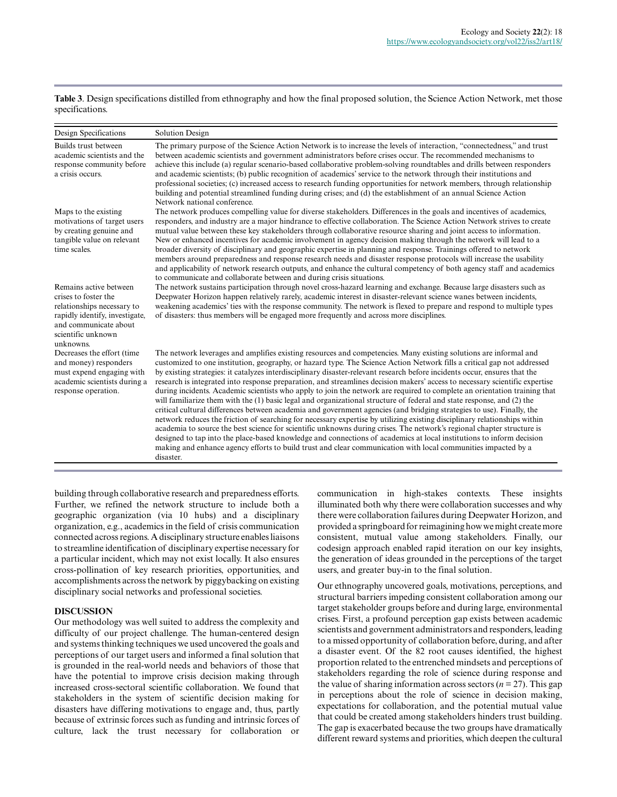**Table 3**. Design specifications distilled from ethnography and how the final proposed solution, the Science Action Network, met those specifications.

| Design Specifications                                                                                                                                                      | <b>Solution Design</b>                                                                                                                                                                                                                                                                                                                                                                                                                                                                                                                                                                                                                                                                                                                                                                                                                                                                                                                                                                                                                                                                                                                                                                                                                                                                                                                                                                                 |
|----------------------------------------------------------------------------------------------------------------------------------------------------------------------------|--------------------------------------------------------------------------------------------------------------------------------------------------------------------------------------------------------------------------------------------------------------------------------------------------------------------------------------------------------------------------------------------------------------------------------------------------------------------------------------------------------------------------------------------------------------------------------------------------------------------------------------------------------------------------------------------------------------------------------------------------------------------------------------------------------------------------------------------------------------------------------------------------------------------------------------------------------------------------------------------------------------------------------------------------------------------------------------------------------------------------------------------------------------------------------------------------------------------------------------------------------------------------------------------------------------------------------------------------------------------------------------------------------|
| Builds trust between<br>academic scientists and the<br>response community before<br>a crisis occurs.                                                                       | The primary purpose of the Science Action Network is to increase the levels of interaction, "connectedness," and trust<br>between academic scientists and government administrators before crises occur. The recommended mechanisms to<br>achieve this include (a) regular scenario-based collaborative problem-solving roundtables and drills between responders<br>and academic scientists; (b) public recognition of academics' service to the network through their institutions and<br>professional societies; (c) increased access to research funding opportunities for network members, through relationship<br>building and potential streamlined funding during crises; and (d) the establishment of an annual Science Action<br>Network national conference.                                                                                                                                                                                                                                                                                                                                                                                                                                                                                                                                                                                                                                |
| Maps to the existing<br>motivations of target users<br>by creating genuine and<br>tangible value on relevant<br>time scales.                                               | The network produces compelling value for diverse stakeholders. Differences in the goals and incentives of academics,<br>responders, and industry are a major hindrance to effective collaboration. The Science Action Network strives to create<br>mutual value between these key stakeholders through collaborative resource sharing and joint access to information.<br>New or enhanced incentives for academic involvement in agency decision making through the network will lead to a<br>broader diversity of disciplinary and geographic expertise in planning and response. Trainings offered to network<br>members around preparedness and response research needs and disaster response protocols will increase the usability<br>and applicability of network research outputs, and enhance the cultural competency of both agency staff and academics<br>to communicate and collaborate between and during crisis situations.                                                                                                                                                                                                                                                                                                                                                                                                                                                               |
| Remains active between<br>crises to foster the<br>relationships necessary to<br>rapidly identify, investigate,<br>and communicate about<br>scientific unknown<br>unknowns. | The network sustains participation through novel cross-hazard learning and exchange. Because large disasters such as<br>Deepwater Horizon happen relatively rarely, academic interest in disaster-relevant science wanes between incidents,<br>weakening academics' ties with the response community. The network is flexed to prepare and respond to multiple types<br>of disasters: thus members will be engaged more frequently and across more disciplines.                                                                                                                                                                                                                                                                                                                                                                                                                                                                                                                                                                                                                                                                                                                                                                                                                                                                                                                                        |
| Decreases the effort (time<br>and money) responders<br>must expend engaging with<br>academic scientists during a<br>response operation.                                    | The network leverages and amplifies existing resources and competencies. Many existing solutions are informal and<br>customized to one institution, geography, or hazard type. The Science Action Network fills a critical gap not addressed<br>by existing strategies: it catalyzes interdisciplinary disaster-relevant research before incidents occur, ensures that the<br>research is integrated into response preparation, and streamlines decision makers' access to necessary scientific expertise<br>during incidents. Academic scientists who apply to join the network are required to complete an orientation training that<br>will familiarize them with the (1) basic legal and organizational structure of federal and state response, and (2) the<br>critical cultural differences between academia and government agencies (and bridging strategies to use). Finally, the<br>network reduces the friction of searching for necessary expertise by utilizing existing disciplinary relationships within<br>academia to source the best science for scientific unknowns during crises. The network's regional chapter structure is<br>designed to tap into the place-based knowledge and connections of academics at local institutions to inform decision<br>making and enhance agency efforts to build trust and clear communication with local communities impacted by a<br>disaster. |

building through collaborative research and preparedness efforts. Further, we refined the network structure to include both a geographic organization (via 10 hubs) and a disciplinary organization, e.g., academics in the field of crisis communication connected across regions. A disciplinary structure enables liaisons to streamline identification of disciplinary expertise necessary for a particular incident, which may not exist locally. It also ensures cross-pollination of key research priorities, opportunities, and accomplishments across the network by piggybacking on existing disciplinary social networks and professional societies.

#### **DISCUSSION**

Our methodology was well suited to address the complexity and difficulty of our project challenge. The human-centered design and systems thinking techniques we used uncovered the goals and perceptions of our target users and informed a final solution that is grounded in the real-world needs and behaviors of those that have the potential to improve crisis decision making through increased cross-sectoral scientific collaboration. We found that stakeholders in the system of scientific decision making for disasters have differing motivations to engage and, thus, partly because of extrinsic forces such as funding and intrinsic forces of culture, lack the trust necessary for collaboration or

communication in high-stakes contexts. These insights illuminated both why there were collaboration successes and why there were collaboration failures during Deepwater Horizon, and provided a springboard for reimagining how we might create more consistent, mutual value among stakeholders. Finally, our codesign approach enabled rapid iteration on our key insights, the generation of ideas grounded in the perceptions of the target users, and greater buy-in to the final solution.

Our ethnography uncovered goals, motivations, perceptions, and structural barriers impeding consistent collaboration among our target stakeholder groups before and during large, environmental crises. First, a profound perception gap exists between academic scientists and government administrators and responders, leading to a missed opportunity of collaboration before, during, and after a disaster event. Of the 82 root causes identified, the highest proportion related to the entrenched mindsets and perceptions of stakeholders regarding the role of science during response and the value of sharing information across sectors  $(n = 27)$ . This gap in perceptions about the role of science in decision making, expectations for collaboration, and the potential mutual value that could be created among stakeholders hinders trust building. The gap is exacerbated because the two groups have dramatically different reward systems and priorities, which deepen the cultural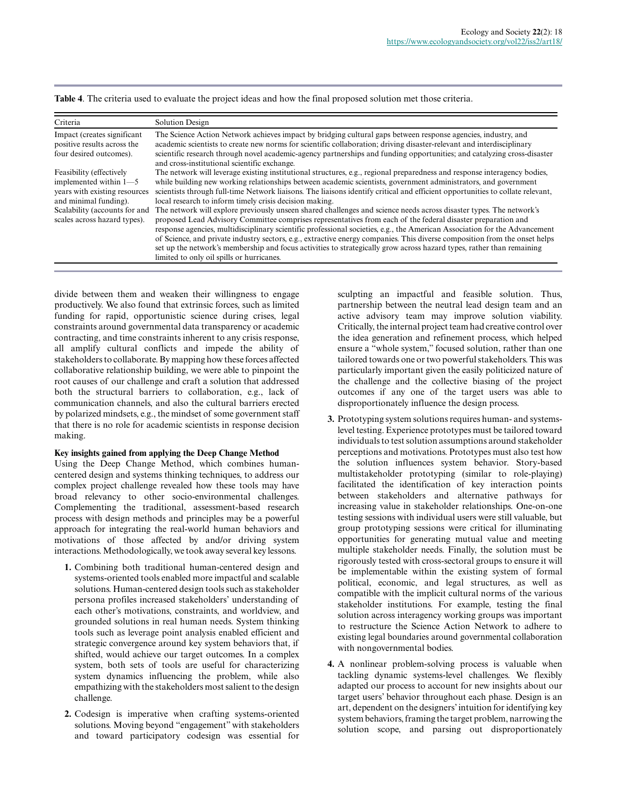| Criteria                      | Solution Design                                                                                                                                                         |
|-------------------------------|-------------------------------------------------------------------------------------------------------------------------------------------------------------------------|
| Impact (creates significant   | The Science Action Network achieves impact by bridging cultural gaps between response agencies, industry, and                                                           |
| positive results across the   | academic scientists to create new norms for scientific collaboration; driving disaster-relevant and interdisciplinary                                                   |
| four desired outcomes).       | scientific research through novel academic-agency partnerships and funding opportunities; and catalyzing cross-disaster<br>and cross-institutional scientific exchange. |
| Feasibility (effectively      | The network will leverage existing institutional structures, e.g., regional preparedness and response interagency bodies,                                               |
| implemented within 1-5        | while building new working relationships between academic scientists, government administrators, and government                                                         |
| years with existing resources | scientists through full-time Network liaisons. The liaisons identify critical and efficient opportunities to collate relevant,                                          |
| and minimal funding).         | local research to inform timely crisis decision making.                                                                                                                 |
| Scalability (accounts for and | The network will explore previously unseen shared challenges and science needs across disaster types. The network's                                                     |
| scales across hazard types).  | proposed Lead Advisory Committee comprises representatives from each of the federal disaster preparation and                                                            |
|                               | response agencies, multidisciplinary scientific professional societies, e.g., the American Association for the Advancement                                              |
|                               | of Science, and private industry sectors, e.g., extractive energy companies. This diverse composition from the onset helps                                              |
|                               | set up the network's membership and focus activities to strategically grow across hazard types, rather than remaining                                                   |

**Table 4**. The criteria used to evaluate the project ideas and how the final proposed solution met those criteria.

divide between them and weaken their willingness to engage productively. We also found that extrinsic forces, such as limited funding for rapid, opportunistic science during crises, legal constraints around governmental data transparency or academic contracting, and time constraints inherent to any crisis response, all amplify cultural conflicts and impede the ability of stakeholders to collaborate. By mapping how these forces affected collaborative relationship building, we were able to pinpoint the root causes of our challenge and craft a solution that addressed both the structural barriers to collaboration, e.g., lack of communication channels, and also the cultural barriers erected by polarized mindsets, e.g., the mindset of some government staff that there is no role for academic scientists in response decision making.

limited to only oil spills or hurricanes.

#### **Key insights gained from applying the Deep Change Method**

Using the Deep Change Method, which combines humancentered design and systems thinking techniques, to address our complex project challenge revealed how these tools may have broad relevancy to other socio-environmental challenges. Complementing the traditional, assessment-based research process with design methods and principles may be a powerful approach for integrating the real-world human behaviors and motivations of those affected by and/or driving system interactions. Methodologically, we took away several key lessons.

- **1.** Combining both traditional human-centered design and systems-oriented tools enabled more impactful and scalable solutions. Human-centered design tools such as stakeholder persona profiles increased stakeholders' understanding of each other's motivations, constraints, and worldview, and grounded solutions in real human needs. System thinking tools such as leverage point analysis enabled efficient and strategic convergence around key system behaviors that, if shifted, would achieve our target outcomes. In a complex system, both sets of tools are useful for characterizing system dynamics influencing the problem, while also empathizing with the stakeholders most salient to the design challenge.
- **2.** Codesign is imperative when crafting systems-oriented solutions. Moving beyond "engagement" with stakeholders and toward participatory codesign was essential for

sculpting an impactful and feasible solution. Thus, partnership between the neutral lead design team and an active advisory team may improve solution viability. Critically, the internal project team had creative control over the idea generation and refinement process, which helped ensure a "whole system," focused solution, rather than one tailored towards one or two powerful stakeholders. This was particularly important given the easily politicized nature of the challenge and the collective biasing of the project outcomes if any one of the target users was able to disproportionately influence the design process.

- **3.** Prototyping system solutions requires human- and systemslevel testing. Experience prototypes must be tailored toward individuals to test solution assumptions around stakeholder perceptions and motivations. Prototypes must also test how the solution influences system behavior. Story-based multistakeholder prototyping (similar to role-playing) facilitated the identification of key interaction points between stakeholders and alternative pathways for increasing value in stakeholder relationships. One-on-one testing sessions with individual users were still valuable, but group prototyping sessions were critical for illuminating opportunities for generating mutual value and meeting multiple stakeholder needs. Finally, the solution must be rigorously tested with cross-sectoral groups to ensure it will be implementable within the existing system of formal political, economic, and legal structures, as well as compatible with the implicit cultural norms of the various stakeholder institutions. For example, testing the final solution across interagency working groups was important to restructure the Science Action Network to adhere to existing legal boundaries around governmental collaboration with nongovernmental bodies.
- **4.** A nonlinear problem-solving process is valuable when tackling dynamic systems-level challenges. We flexibly adapted our process to account for new insights about our target users' behavior throughout each phase. Design is an art, dependent on the designers' intuition for identifying key system behaviors, framing the target problem, narrowing the solution scope, and parsing out disproportionately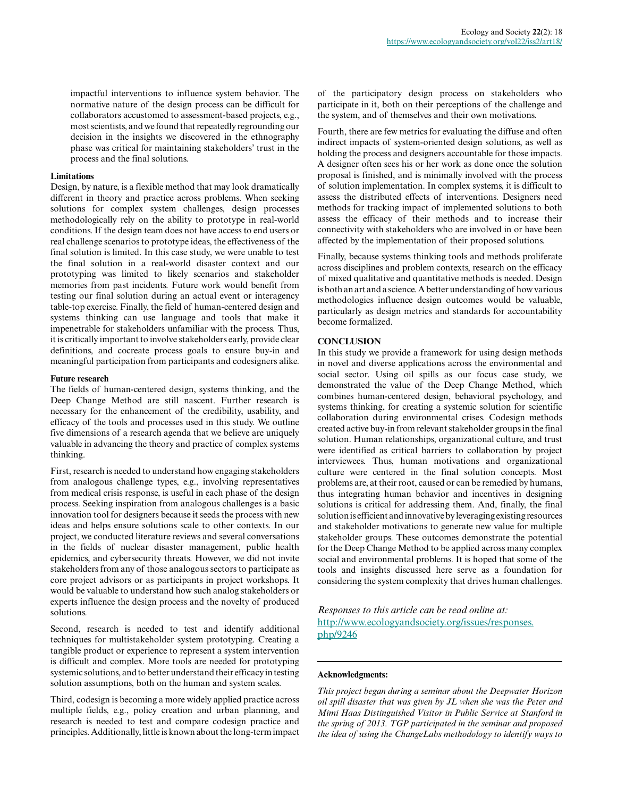impactful interventions to influence system behavior. The normative nature of the design process can be difficult for collaborators accustomed to assessment-based projects, e.g., most scientists, and we found that repeatedly regrounding our decision in the insights we discovered in the ethnography phase was critical for maintaining stakeholders' trust in the process and the final solutions.

#### **Limitations**

Design, by nature, is a flexible method that may look dramatically different in theory and practice across problems. When seeking solutions for complex system challenges, design processes methodologically rely on the ability to prototype in real-world conditions. If the design team does not have access to end users or real challenge scenarios to prototype ideas, the effectiveness of the final solution is limited. In this case study, we were unable to test the final solution in a real-world disaster context and our prototyping was limited to likely scenarios and stakeholder memories from past incidents. Future work would benefit from testing our final solution during an actual event or interagency table-top exercise. Finally, the field of human-centered design and systems thinking can use language and tools that make it impenetrable for stakeholders unfamiliar with the process. Thus, it is critically important to involve stakeholders early, provide clear definitions, and cocreate process goals to ensure buy-in and meaningful participation from participants and codesigners alike.

#### **Future research**

The fields of human-centered design, systems thinking, and the Deep Change Method are still nascent. Further research is necessary for the enhancement of the credibility, usability, and efficacy of the tools and processes used in this study. We outline five dimensions of a research agenda that we believe are uniquely valuable in advancing the theory and practice of complex systems thinking.

First, research is needed to understand how engaging stakeholders from analogous challenge types, e.g., involving representatives from medical crisis response, is useful in each phase of the design process. Seeking inspiration from analogous challenges is a basic innovation tool for designers because it seeds the process with new ideas and helps ensure solutions scale to other contexts. In our project, we conducted literature reviews and several conversations in the fields of nuclear disaster management, public health epidemics, and cybersecurity threats. However, we did not invite stakeholders from any of those analogous sectors to participate as core project advisors or as participants in project workshops. It would be valuable to understand how such analog stakeholders or experts influence the design process and the novelty of produced solutions.

Second, research is needed to test and identify additional techniques for multistakeholder system prototyping. Creating a tangible product or experience to represent a system intervention is difficult and complex. More tools are needed for prototyping systemic solutions, and to better understand their efficacy in testing solution assumptions, both on the human and system scales.

Third, codesign is becoming a more widely applied practice across multiple fields, e.g., policy creation and urban planning, and research is needed to test and compare codesign practice and principles. Additionally, little is known about the long-term impact of the participatory design process on stakeholders who participate in it, both on their perceptions of the challenge and the system, and of themselves and their own motivations.

Fourth, there are few metrics for evaluating the diffuse and often indirect impacts of system-oriented design solutions, as well as holding the process and designers accountable for those impacts. A designer often sees his or her work as done once the solution proposal is finished, and is minimally involved with the process of solution implementation. In complex systems, it is difficult to assess the distributed effects of interventions. Designers need methods for tracking impact of implemented solutions to both assess the efficacy of their methods and to increase their connectivity with stakeholders who are involved in or have been affected by the implementation of their proposed solutions.

Finally, because systems thinking tools and methods proliferate across disciplines and problem contexts, research on the efficacy of mixed qualitative and quantitative methods is needed. Design is both an art and a science. A better understanding of how various methodologies influence design outcomes would be valuable, particularly as design metrics and standards for accountability become formalized.

#### **CONCLUSION**

In this study we provide a framework for using design methods in novel and diverse applications across the environmental and social sector. Using oil spills as our focus case study, we demonstrated the value of the Deep Change Method, which combines human-centered design, behavioral psychology, and systems thinking, for creating a systemic solution for scientific collaboration during environmental crises. Codesign methods created active buy-in from relevant stakeholder groups in the final solution. Human relationships, organizational culture, and trust were identified as critical barriers to collaboration by project interviewees. Thus, human motivations and organizational culture were centered in the final solution concepts. Most problems are, at their root, caused or can be remedied by humans, thus integrating human behavior and incentives in designing solutions is critical for addressing them. And, finally, the final solution is efficient and innovative by leveraging existing resources and stakeholder motivations to generate new value for multiple stakeholder groups. These outcomes demonstrate the potential for the Deep Change Method to be applied across many complex social and environmental problems. It is hoped that some of the tools and insights discussed here serve as a foundation for considering the system complexity that drives human challenges.

*Responses to this article can be read online at:* [http://www.ecologyandsociety.org/issues/responses.](http://www.ecologyandsociety.org/issues/responses.php/9246) [php/9246](http://www.ecologyandsociety.org/issues/responses.php/9246)

#### **Acknowledgments:**

*This project began during a seminar about the Deepwater Horizon oil spill disaster that was given by JL when she was the Peter and Mimi Haas Distinguished Visitor in Public Service at Stanford in the spring of 2013. TGP participated in the seminar and proposed the idea of using the ChangeLabs methodology to identify ways to*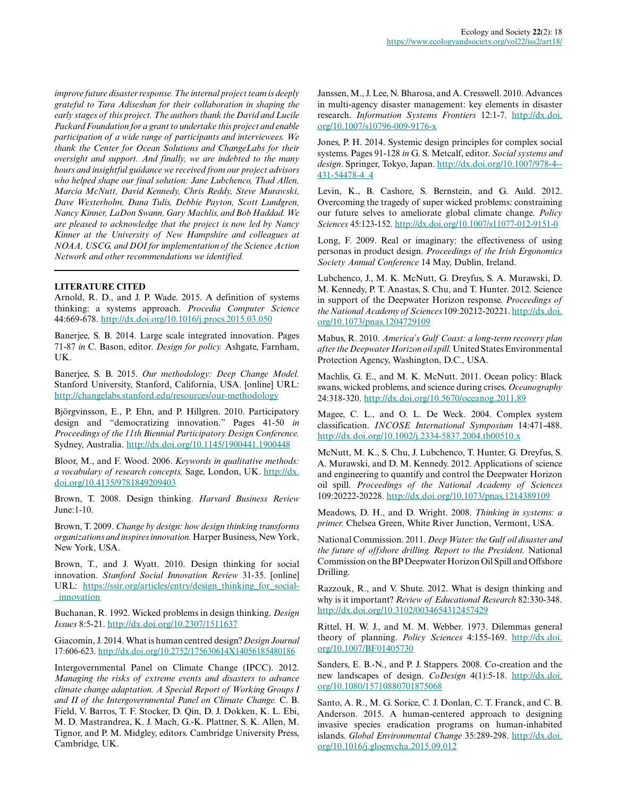*improve future disaster response. The internal project team is deeply grateful to Tara Adiseshan for their collaboration in shaping the early stages of this project. The authors thank the David and Lucile Packard Foundation for a grant to undertake this project and enable participation of a wide range of participants and interviewees. We thank the Center for Ocean Solutions and ChangeLabs for their oversight and support. And finally, we are indebted to the many hours and insightful guidance we received from our project advisors who helped shape our final solution: Jane Lubchenco, Thad Allen, Marcia McNutt, David Kennedy, Chris Reddy, Steve Murawski, Dave Westerholm, Dana Tulis, Debbie Payton, Scott Lundgren, Nancy Kinner, LaDon Swann, Gary Machlis, and Bob Haddad. We are pleased to acknowledge that the project is now led by Nancy Kinner at the University of New Hampshire and colleagues at NOAA, USCG, and DOI for implementation of the Science Action Network and other recommendations we identified.*

#### **LITERATURE CITED**

Arnold, R. D., and J. P. Wade. 2015. A definition of systems thinking: a systems approach. *Procedia Computer Science* 44:669-678. [http://dx.doi.org/10.1016/j.procs.2015.03.050](http://dx.doi.org/10.1016%2Fj.procs.2015.03.050)

Banerjee, S. B. 2014. Large scale integrated innovation. Pages 71-87 *in* C. Bason, editor. *Design for policy.* Ashgate, Farnham, UK.

Banerjee, S. B. 2015. *Our methodology: Deep Change Model.* Stanford University, Stanford, California, USA. [online] URL: <http://changelabs.stanford.edu/resources/our-methodology>

Björgvinsson, E., P. Ehn, and P. Hillgren. 2010. Participatory design and "democratizing innovation." Pages 41-50 *in Proceedings of the 11th Biennial Participatory Design Conference.* Sydney, Australia. [http://dx.doi.org/10.1145/1900441.1900448](http://dx.doi.org/10.1145%2F1900441.1900448)

Bloor, M., and F. Wood. 2006. *Keywords in qualitative methods: a vocabulary of research concepts.* Sage, London, UK. [http://dx.](http://dx.doi.org/10.4135%2F9781849209403) [doi.org/10.4135/9781849209403](http://dx.doi.org/10.4135%2F9781849209403) 

Brown, T. 2008. Design thinking. *Harvard Business Review* June:1-10.

Brown, T. 2009. *Change by design: how design thinking transforms organizations and inspires innovation.* Harper Business, New York, New York, USA.

Brown, T., and J. Wyatt. 2010. Design thinking for social innovation. *Stanford Social Innovation Review* 31-35. [online] URL: [https://ssir.org/articles/entry/design\\_thinking\\_for\\_social](https://ssir.org/articles/entry/design_thinking_for_social_innovation) [\\_innovation](https://ssir.org/articles/entry/design_thinking_for_social_innovation)

Buchanan, R. 1992. Wicked problems in design thinking. *Design Issues* 8:5-21. [http://dx.doi.org/10.2307/1511637](http://dx.doi.org/10.2307%2F1511637) 

Giacomin, J. 2014. What is human centred design? *Design Journal* 17:606-623. [http://dx.doi.org/10.2752/175630614X14056185480186](http://dx.doi.org/10.2752%2F175630614X14056185480186) 

Intergovernmental Panel on Climate Change (IPCC). 2012. *Managing the risks of extreme events and disasters to advance climate change adaptation. A Special Report of Working Groups I and II of the Intergovernmental Panel on Climate Change.* C. B. Field, V. Barros, T. F. Stocker, D. Qin, D. J. Dokken, K. L. Ebi, M. D. Mastrandrea, K. J. Mach, G.-K. Plattner, S. K. Allen, M. Tignor, and P. M. Midgley, editors. Cambridge University Press, Cambridge, UK.

Janssen, M., J. Lee, N. Bharosa, and A. Cresswell. 2010. Advances in multi-agency disaster management: key elements in disaster research. *Information Systems Frontiers* 12:1-7. [http://dx.doi.](http://dx.doi.org/10.1007%2Fs10796-009-9176-x) [org/10.1007/s10796-009-9176-x](http://dx.doi.org/10.1007%2Fs10796-009-9176-x)

Jones, P. H. 2014. Systemic design principles for complex social systems. Pages 91-128 *in* G. S. Metcalf, editor. *Social systems and design*. Springer, Tokyo, Japan. [http://dx.doi.org/10.1007/978-4-](http://dx.doi.org/10.1007%2F978-4-431-54478-4_4) [431-54478-4\\_4](http://dx.doi.org/10.1007%2F978-4-431-54478-4_4)

Levin, K., B. Cashore, S. Bernstein, and G. Auld. 2012. Overcoming the tragedy of super wicked problems: constraining our future selves to ameliorate global climate change. *Policy Sciences* 45:123-152. [http://dx.doi.org/10.1007/s11077-012-9151-0](http://dx.doi.org/10.1007%2Fs11077-012-9151-0) 

Long, F. 2009. Real or imaginary: the effectiveness of using personas in product design. *Proceedings of the Irish Ergonomics Society Annual Conference* 14 May, Dublin, Ireland.

Lubchenco, J., M. K. McNutt, G. Dreyfus, S. A. Murawski, D. M. Kennedy, P. T. Anastas, S. Chu, and T. Hunter. 2012. Science in support of the Deepwater Horizon response. *Proceedings of the National Academy of Sciences* 109:20212-20221. [http://dx.doi.](http://dx.doi.org/10.1073%2Fpnas.1204729109) [org/10.1073/pnas.1204729109](http://dx.doi.org/10.1073%2Fpnas.1204729109) 

Mabus, R. 2010. *America's Gulf Coast: a long-term recovery plan after the Deepwater Horizon oil spill.* United States Environmental Protection Agency, Washington, D.C., USA.

Machlis, G. E., and M. K. McNutt. 2011. Ocean policy: Black swans, wicked problems, and science during crises. *Oceanography* 24:318-320. [http://dx.doi.org/10.5670/oceanog.2011.89](http://dx.doi.org/10.5670%2Foceanog.2011.89) 

Magee, C. L., and O. L. De Weck. 2004. Complex system classification. *INCOSE International Symposium* 14:471-488. <http://dx.doi.org/10.1002/j.2334-5837.2004.tb00510.x>

McNutt, M. K., S. Chu, J. Lubchenco, T. Hunter, G. Dreyfus, S. A. Murawski, and D. M. Kennedy. 2012. Applications of science and engineering to quantify and control the Deepwater Horizon oil spill. *Proceedings of the National Academy of Sciences* 109:20222-20228. [http://dx.doi.org/10.1073/pnas.1214389109](http://dx.doi.org/10.1073%2Fpnas.1214389109) 

Meadows, D. H., and D. Wright. 2008. *Thinking in systems: a primer.* Chelsea Green, White River Junction, Vermont, USA.

National Commission. 2011. *Deep Water: the Gulf oil disaster and the future of offshore drilling. Report to the President.* National Commission on the BP Deepwater Horizon Oil Spill and Offshore Drilling.

Razzouk, R., and V. Shute. 2012. What is design thinking and why is it important? *Review of Educational Research* 82:330-348. [http://dx.doi.org/10.3102/0034654312457429](http://dx.doi.org/10.3102%2F0034654312457429)

Rittel, H. W. J., and M. M. Webber. 1973. Dilemmas general theory of planning. *Policy Sciences* 4:155-169. [http://dx.doi.](http://dx.doi.org/10.1007%2FBF01405730) [org/10.1007/BF01405730](http://dx.doi.org/10.1007%2FBF01405730)

Sanders, E. B.-N., and P. J. Stappers. 2008. Co-creation and the new landscapes of design. *CoDesign* 4(1):5-18. [http://dx.doi.](http://dx.doi.org/10.1080/15710880701875068) [org/10.1080/15710880701875068](http://dx.doi.org/10.1080/15710880701875068) 

Santo, A. R., M. G. Sorice, C. J. Donlan, C. T. Franck, and C. B. Anderson. 2015. A human-centered approach to designing invasive species eradication programs on human-inhabited islands. *Global Environmental Change* 35:289-298. [http://dx.doi.](http://dx.doi.org/10.1016%2Fj.gloenvcha.2015.09.012) [org/10.1016/j.gloenvcha.2015.09.012](http://dx.doi.org/10.1016%2Fj.gloenvcha.2015.09.012)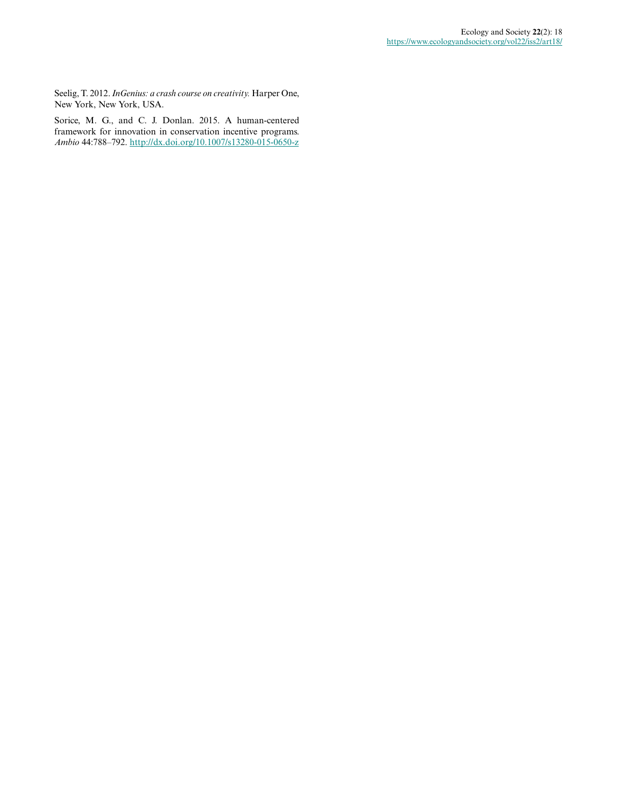Seelig, T. 2012. *InGenius: a crash course on creativity.* Harper One, New York, New York, USA.

Sorice, M. G., and C. J. Donlan. 2015. A human-centered framework for innovation in conservation incentive programs. *Ambio* 44:788–792. [http://dx.doi.org/10.1007/s13280-015-0650-z](http://dx.doi.org/10.1007%2Fs13280-015-0650-z)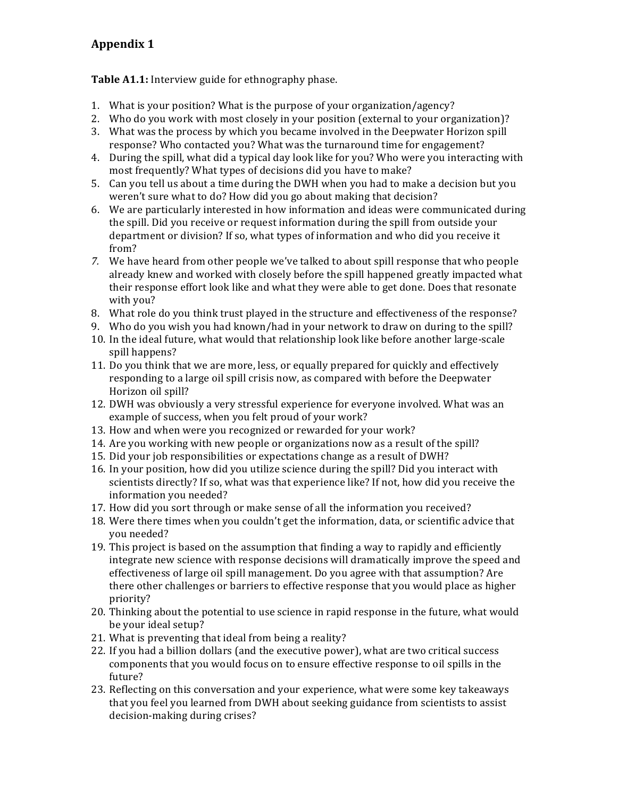**Table A1.1:** Interview guide for ethnography phase.

- 1. What is your position? What is the purpose of your organization/agency?
- 2. Who do you work with most closely in your position (external to your organization)?
- 3. What was the process by which you became involved in the Deepwater Horizon spill response? Who contacted you? What was the turnaround time for engagement?
- 4. During the spill, what did a typical day look like for you? Who were you interacting with most frequently? What types of decisions did you have to make?
- 5. Can you tell us about a time during the DWH when you had to make a decision but you weren't sure what to do? How did you go about making that decision?
- 6. We are particularly interested in how information and ideas were communicated during the spill. Did you receive or request information during the spill from outside your department or division? If so, what types of information and who did you receive it from?
- 7. We have heard from other people we've talked to about spill response that who people already knew and worked with closely before the spill happened greatly impacted what their response effort look like and what they were able to get done. Does that resonate with you?
- 8. What role do you think trust played in the structure and effectiveness of the response?
- 9. Who do you wish you had known/had in your network to draw on during to the spill?
- 10. In the ideal future, what would that relationship look like before another large-scale spill happens?
- 11. Do you think that we are more, less, or equally prepared for quickly and effectively responding to a large oil spill crisis now, as compared with before the Deepwater Horizon oil spill?
- 12. DWH was obviously a very stressful experience for everyone involved. What was an example of success, when you felt proud of your work?
- 13. How and when were you recognized or rewarded for your work?
- 14. Are you working with new people or organizations now as a result of the spill?
- 15. Did your job responsibilities or expectations change as a result of DWH?
- 16. In your position, how did you utilize science during the spill? Did you interact with scientists directly? If so, what was that experience like? If not, how did you receive the information you needed?
- 17. How did you sort through or make sense of all the information you received?
- 18. Were there times when you couldn't get the information, data, or scientific advice that you needed?
- 19. This project is based on the assumption that finding a way to rapidly and efficiently integrate new science with response decisions will dramatically improve the speed and effectiveness of large oil spill management. Do you agree with that assumption? Are there other challenges or barriers to effective response that you would place as higher priority?
- 20. Thinking about the potential to use science in rapid response in the future, what would be your ideal setup?
- 21. What is preventing that ideal from being a reality?
- 22. If you had a billion dollars (and the executive power), what are two critical success components that you would focus on to ensure effective response to oil spills in the future?
- 23. Reflecting on this conversation and your experience, what were some key takeaways that you feel you learned from DWH about seeking guidance from scientists to assist decision-making during crises?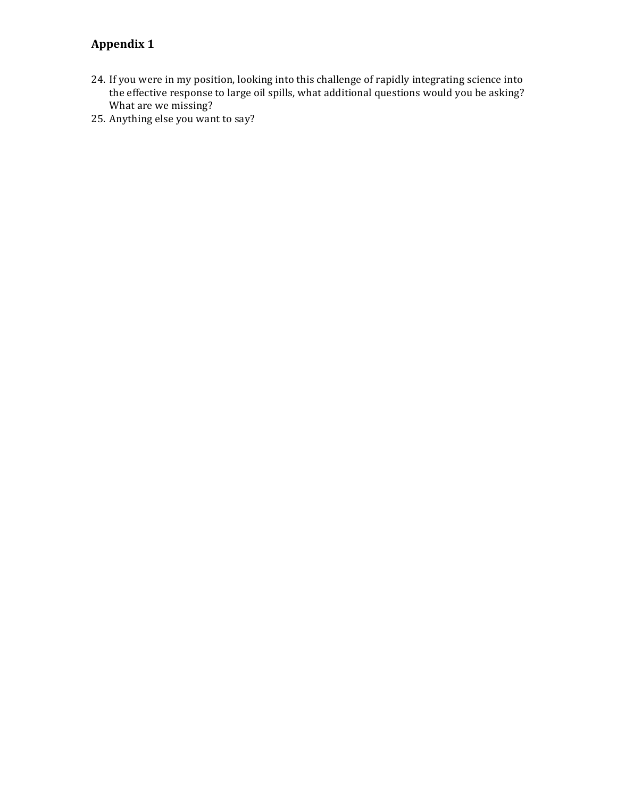- 24. If you were in my position, looking into this challenge of rapidly integrating science into the effective response to large oil spills, what additional questions would you be asking? What are we missing?
- 25. Anything else you want to say?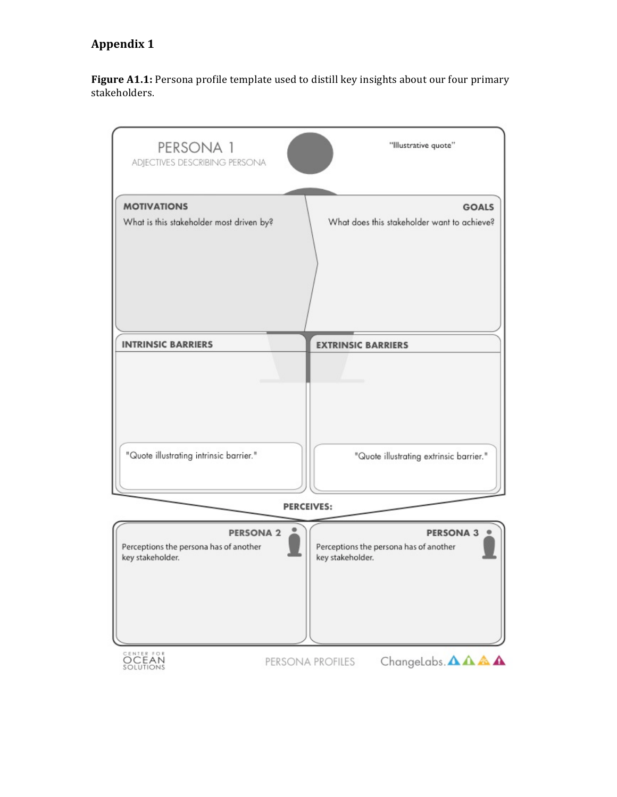**Figure A1.1:** Persona profile template used to distill key insights about our four primary stakeholders.

| PERSONA 1<br>ADJECTIVES DESCRIBING PERSONA                                     | "Illustrative quote"                                                           |
|--------------------------------------------------------------------------------|--------------------------------------------------------------------------------|
| <b>MOTIVATIONS</b><br>What is this stakeholder most driven by?                 | <b>GOALS</b><br>What does this stakeholder want to achieve?                    |
| <b>INTRINSIC BARRIERS</b>                                                      | <b>EXTRINSIC BARRIERS</b>                                                      |
| "Quote illustrating intrinsic barrier."                                        | "Quote illustrating extrinsic barrier."                                        |
|                                                                                | <b>PERCEIVES:</b>                                                              |
| <b>PERSONA 2</b><br>Perceptions the persona has of another<br>key stakeholder. | <b>PERSONA 3</b><br>Perceptions the persona has of another<br>key stakeholder. |
| CENTER FOR<br>OCEAN<br>SOLUTIONS                                               | ChangeLabs. AAAA<br>PERSONA PROFILES                                           |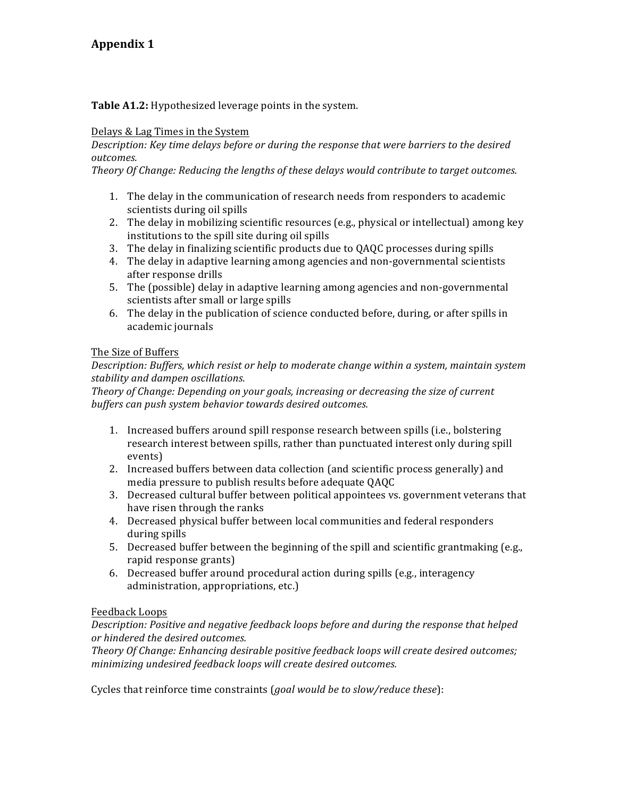**Table A1.2:** Hypothesized leverage points in the system.

### Delays & Lag Times in the System

*Description:* Key time delays before or during the response that were barriers to the desired *outcomes.*

*Theory Of* Change: Reducing the lengths of these delays would contribute to target outcomes.

- 1. The delay in the communication of research needs from responders to academic scientists during oil spills
- 2. The delay in mobilizing scientific resources (e.g., physical or intellectual) among key institutions to the spill site during oil spills
- 3. The delay in finalizing scientific products due to QAQC processes during spills
- 4. The delay in adaptive learning among agencies and non-governmental scientists after response drills
- 5. The (possible) delay in adaptive learning among agencies and non-governmental scientists after small or large spills
- 6. The delay in the publication of science conducted before, during, or after spills in academic journals

### The Size of Buffers

Description: Buffers, which resist or help to moderate change within a system, maintain system *stability and dampen oscillations.* 

*Theory of Change: Depending on your goals, increasing or decreasing the size of current* buffers can push system behavior towards desired outcomes.

- 1. Increased buffers around spill response research between spills (i.e., bolstering research interest between spills, rather than punctuated interest only during spill events)
- 2. Increased buffers between data collection (and scientific process generally) and media pressure to publish results before adequate QAQC
- 3. Decreased cultural buffer between political appointees vs. government veterans that have risen through the ranks
- 4. Decreased physical buffer between local communities and federal responders during spills
- 5. Decreased buffer between the beginning of the spill and scientific grantmaking (e.g., rapid response grants)
- 6. Decreased buffer around procedural action during spills (e.g., interagency administration, appropriations, etc.)

### Feedback Loops

Description: Positive and negative feedback loops before and during the response that helped *or hindered the desired outcomes.*

*Theory Of Change: Enhancing desirable positive feedback loops will create desired outcomes;* minimizing undesired feedback loops will create desired outcomes.

Cycles that reinforce time constraints (*goal would be to slow/reduce these*):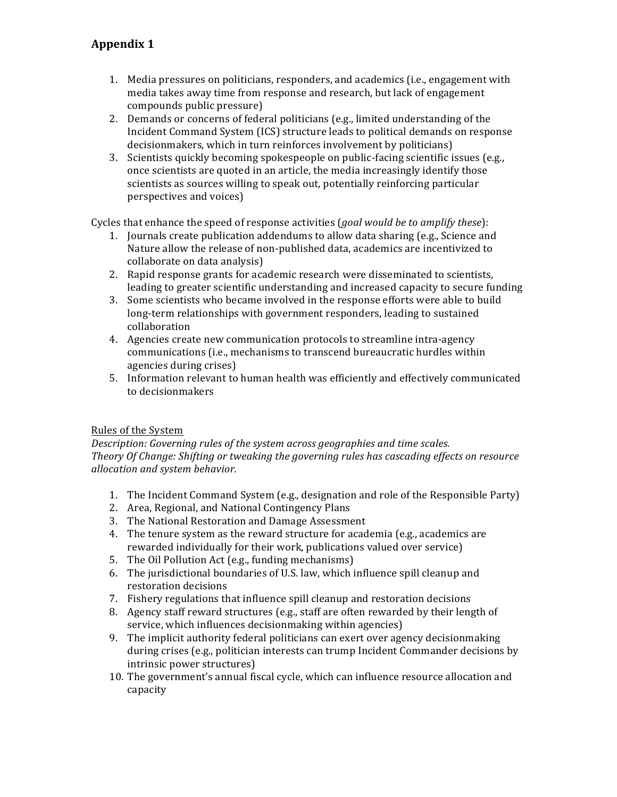- 1. Media pressures on politicians, responders, and academics (i.e., engagement with media takes away time from response and research, but lack of engagement compounds public pressure)
- 2. Demands or concerns of federal politicians  $(e.g.,$  limited understanding of the Incident Command System (ICS) structure leads to political demands on response decisionmakers, which in turn reinforces involvement by politicians)
- 3. Scientists quickly becoming spokespeople on public-facing scientific issues (e.g., once scientists are quoted in an article, the media increasingly identify those scientists as sources willing to speak out, potentially reinforcing particular perspectives and voices)

Cycles that enhance the speed of response activities (*goal would be to amplify these*):

- 1. Journals create publication addendums to allow data sharing (e.g., Science and Nature allow the release of non-published data, academics are incentivized to collaborate on data analysis)
- 2. Rapid response grants for academic research were disseminated to scientists, leading to greater scientific understanding and increased capacity to secure funding
- 3. Some scientists who became involved in the response efforts were able to build long-term relationships with government responders, leading to sustained collaboration
- 4. Agencies create new communication protocols to streamline intra-agency communications (i.e., mechanisms to transcend bureaucratic hurdles within agencies during crises)
- 5. Information relevant to human health was efficiently and effectively communicated to decisionmakers

### Rules of the System

*Description: Governing rules of the system across geographies and time scales. Theory Of Change: Shifting or tweaking the governing rules has cascading effects on resource allocation and system behavior.*

- 1. The Incident Command System (e.g., designation and role of the Responsible Party)
- 2. Area, Regional, and National Contingency Plans
- 3. The National Restoration and Damage Assessment
- 4. The tenure system as the reward structure for academia (e.g., academics are rewarded individually for their work, publications valued over service)
- 5. The Oil Pollution Act (e.g., funding mechanisms)
- 6. The jurisdictional boundaries of U.S. law, which influence spill cleanup and restoration decisions
- 7. Fishery regulations that influence spill cleanup and restoration decisions
- 8. Agency staff reward structures (e.g., staff are often rewarded by their length of service, which influences decisionmaking within agencies)
- 9. The implicit authority federal politicians can exert over agency decisionmaking during crises (e.g., politician interests can trump Incident Commander decisions by intrinsic power structures)
- 10. The government's annual fiscal cycle, which can influence resource allocation and capacity